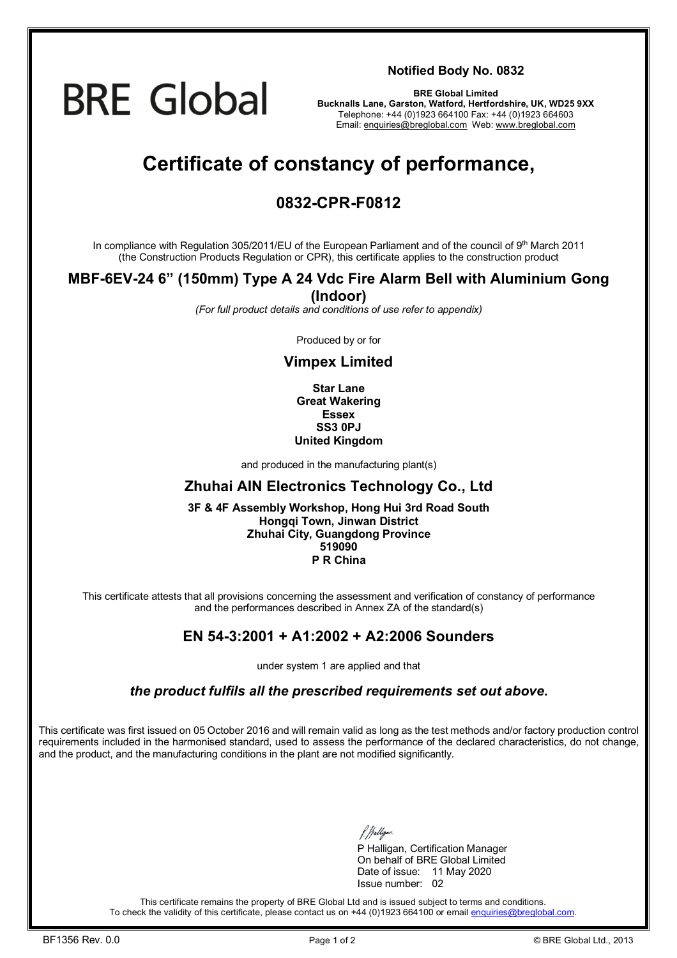# **BRE Global**

**Notified Body No. 0832**

**BRE Global Limited Bucknalls Lane, Garston, Watford, Hertfordshire, UK, WD25 9XX**  Telephone: +44 (0)1923 664100 Fax: +44 (0)1923 664603 Email: [enquiries@breglobal.com](mailto:enquiries@breglobal.com) Web: [www.breglobal.com](http://www.breglobal.com)

## **Certificate of constancy of performance,**

### **0832-CPR-F0812**

In compliance with Regulation 305/2011/EU of the European Parliament and of the council of 9th March 2011 (the Construction Products Regulation or CPR), this certificate applies to the construction product

#### **MBF-6EV-24 6" (150mm) Type A 24 Vdc Fire Alarm Bell with Aluminium Gong (Indoor)**

*(For full product details and conditions of use refer to appendix)* 

Produced by or for

#### **Vimpex Limited**

**Star Lane Great Wakering Essex SS3 0PJ United Kingdom**

and produced in the manufacturing plant(s)

#### **Zhuhai AIN Electronics Technology Co., Ltd**

**3F & 4F Assembly Workshop, Hong Hui 3rd Road South Hongqi Town, Jinwan District Zhuhai City, Guangdong Province 519090 P R China**

This certificate attests that all provisions concerning the assessment and verification of constancy of performance and the performances described in Annex ZA of the standard(s)

#### **EN 54-3:2001 + A1:2002 + A2:2006 Sounders**

under system 1 are applied and that

*the product fulfils all the prescribed requirements set out above.* 

This certificate was first issued on 05 October 2016 and will remain valid as long as the test methods and/or factory production control requirements included in the harmonised standard, used to assess the performance of the declared characteristics, do not change, and the product, and the manufacturing conditions in the plant are not modified significantly.

P Halligan, Certification Manager On behalf of BRE Global Limited Date of issue: 11 May 2020 Issue number: 02

This certificate remains the property of BRE Global Ltd and is issued subject to terms and conditions. To check the validity of this certificate, please contact us on +44 (0)1923 664100 or email [enquiries@breglobal.com.](mailto:enquiries@breglobal.com)